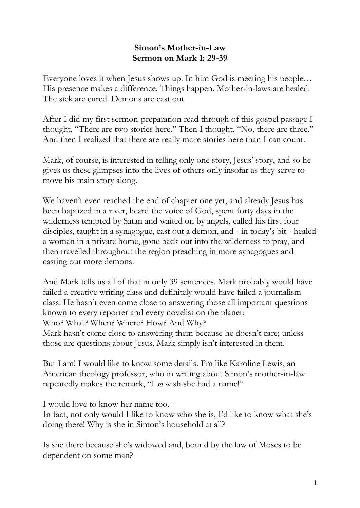## **Simon's Mother-in-Law Sermon on Mark 1: 29-39**

Everyone loves it when Jesus shows up. In him God is meeting his people… His presence makes a difference. Things happen. Mother-in-laws are healed. The sick are cured. Demons are cast out.

After I did my first sermon-preparation read through of this gospel passage I thought, "There are two stories here." Then I thought, "No, there are three." And then I realized that there are really more stories here than I can count.

Mark, of course, is interested in telling only one story, Jesus' story, and so he gives us these glimpses into the lives of others only insofar as they serve to move his main story along.

We haven't even reached the end of chapter one yet, and already Jesus has been baptized in a river, heard the voice of God, spent forty days in the wilderness tempted by Satan and waited on by angels, called his first four disciples, taught in a synagogue, cast out a demon, and - in today's bit - healed a woman in a private home, gone back out into the wilderness to pray, and then travelled throughout the region preaching in more synagogues and casting our more demons.

And Mark tells us all of that in only 39 sentences. Mark probably would have failed a creative writing class and definitely would have failed a journalism class! He hasn't even come close to answering those all important questions known to every reporter and every novelist on the planet: Who? What? When? Where? How? And Why?

Mark hasn't come close to answering them because he doesn't care; unless those are questions about Jesus, Mark simply isn't interested in them.

But I am! I would like to know some details. I'm like Karoline Lewis, an American theology professor, who in writing about Simon's mother-in-law repeatedly makes the remark, "I *so* wish she had a name!"

I would love to know her name too.

In fact, not only would I like to know who she is, I'd like to know what she's doing there! Why is she in Simon's household at all?

Is she there because she's widowed and, bound by the law of Moses to be dependent on some man?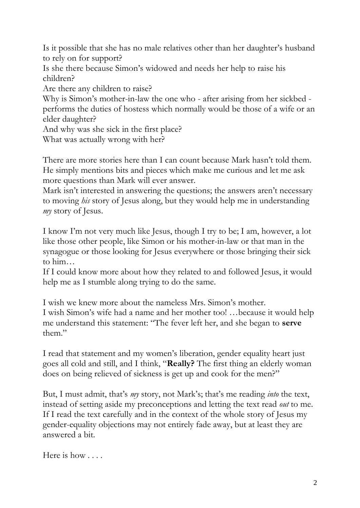Is it possible that she has no male relatives other than her daughter's husband to rely on for support?

Is she there because Simon's widowed and needs her help to raise his children?

Are there any children to raise?

Why is Simon's mother-in-law the one who - after arising from her sickbed performs the duties of hostess which normally would be those of a wife or an elder daughter?

And why was she sick in the first place?

What was actually wrong with her?

There are more stories here than I can count because Mark hasn't told them. He simply mentions bits and pieces which make me curious and let me ask more questions than Mark will ever answer.

Mark isn't interested in answering the questions; the answers aren't necessary to moving *his* story of Jesus along, but they would help me in understanding *my* story of Jesus.

I know I'm not very much like Jesus, though I try to be; I am, however, a lot like those other people, like Simon or his mother-in-law or that man in the synagogue or those looking for Jesus everywhere or those bringing their sick to him…

If I could know more about how they related to and followed Jesus, it would help me as I stumble along trying to do the same.

I wish we knew more about the nameless Mrs. Simon's mother. I wish Simon's wife had a name and her mother too! …because it would help me understand this statement: "The fever left her, and she began to **serve** them."

I read that statement and my women's liberation, gender equality heart just goes all cold and still, and I think, "**Really?** The first thing an elderly woman does on being relieved of sickness is get up and cook for the men?"

But, I must admit, that's *my* story, not Mark's; that's me reading *into* the text, instead of setting aside my preconceptions and letting the text read *out* to me. If I read the text carefully and in the context of the whole story of Jesus my gender-equality objections may not entirely fade away, but at least they are answered a bit.

Here is how . . . .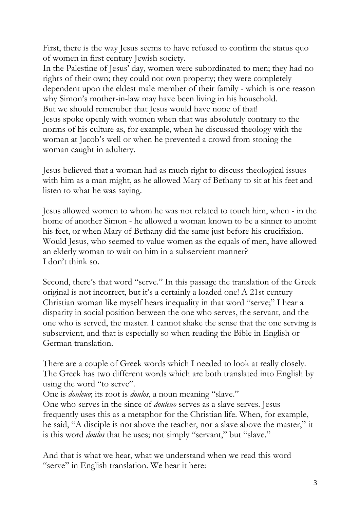First, there is the way Jesus seems to have refused to confirm the status quo of women in first century Jewish society.

In the Palestine of Jesus' day, women were subordinated to men; they had no rights of their own; they could not own property; they were completely dependent upon the eldest male member of their family - which is one reason why Simon's mother-in-law may have been living in his household. But we should remember that Jesus would have none of that! Jesus spoke openly with women when that was absolutely contrary to the norms of his culture as, for example, when he discussed theology with the woman at Jacob's well or when he prevented a crowd from stoning the woman caught in adultery.

Jesus believed that a woman had as much right to discuss theological issues with him as a man might, as he allowed Mary of Bethany to sit at his feet and listen to what he was saying.

Jesus allowed women to whom he was not related to touch him, when - in the home of another Simon - he allowed a woman known to be a sinner to anoint his feet, or when Mary of Bethany did the same just before his crucifixion. Would Jesus, who seemed to value women as the equals of men, have allowed an elderly woman to wait on him in a subservient manner? I don't think so.

Second, there's that word "serve." In this passage the translation of the Greek original is not incorrect, but it's a certainly a loaded one! A 21st century Christian woman like myself hears inequality in that word "serve;" I hear a disparity in social position between the one who serves, the servant, and the one who is served, the master. I cannot shake the sense that the one serving is subservient, and that is especially so when reading the Bible in English or German translation.

There are a couple of Greek words which I needed to look at really closely. The Greek has two different words which are both translated into English by using the word "to serve".

One is *douleuo*; its root is *doulos*, a noun meaning "slave."

One who serves in the since of *douleuo* serves as a slave serves. Jesus frequently uses this as a metaphor for the Christian life. When, for example, he said, "A disciple is not above the teacher, nor a slave above the master," it is this word *doulos* that he uses; not simply "servant," but "slave."

And that is what we hear, what we understand when we read this word "serve" in English translation. We hear it here: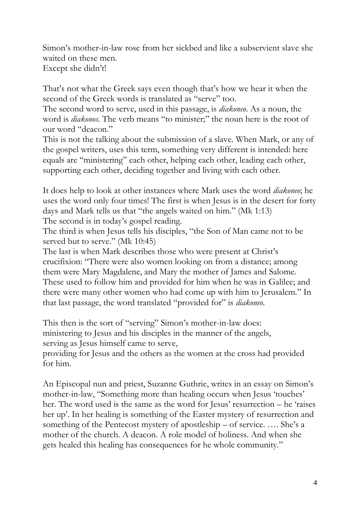Simon's mother-in-law rose from her sickbed and like a subservient slave she waited on these men. Except she didn't!

That's not what the Greek says even though that's how we hear it when the second of the Greek words is translated as "serve" too.

The second word to serve, used in this passage, is *diakoneo*. As a noun, the word is *diakonos*. The verb means "to minister;" the noun here is the root of our word "deacon."

This is not the talking about the submission of a slave. When Mark, or any of the gospel writers, uses this term, something very different is intended: here equals are "ministering" each other, helping each other, leading each other, supporting each other, deciding together and living with each other.

It does help to look at other instances where Mark uses the word *diakoneo*; he uses the word only four times! The first is when Jesus is in the desert for forty days and Mark tells us that "the angels waited on him." (Mk 1:13) The second is in today's gospel reading.

The third is when Jesus tells his disciples, "the Son of Man came not to be served but to serve." (Mk 10:45)

The last is when Mark describes those who were present at Christ's crucifixion: "There were also women looking on from a distance; among them were Mary Magdalene, and Mary the mother of James and Salome. These used to follow him and provided for him when he was in Galilee; and there were many other women who had come up with him to Jerusalem." In that last passage, the word translated "provided for" is *diakoneo*.

This then is the sort of "serving" Simon's mother-in-law does: ministering to Jesus and his disciples in the manner of the angels, serving as Jesus himself came to serve,

providing for Jesus and the others as the women at the cross had provided for him.

An Episcopal nun and priest, Suzanne Guthrie, writes in an essay on Simon's mother-in-law, "Something more than healing occurs when Jesus 'touches' her. The word used is the same as the word for Jesus' resurrection – he 'raises her up'. In her healing is something of the Easter mystery of resurrection and something of the Pentecost mystery of apostleship – of service. …. She's a mother of the church. A deacon. A role model of holiness. And when she gets healed this healing has consequences for he whole community."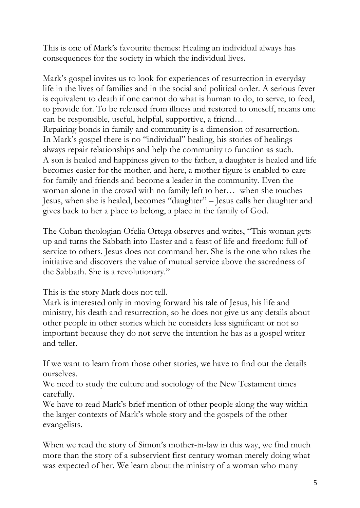This is one of Mark's favourite themes: Healing an individual always has consequences for the society in which the individual lives.

Mark's gospel invites us to look for experiences of resurrection in everyday life in the lives of families and in the social and political order. A serious fever is equivalent to death if one cannot do what is human to do, to serve, to feed, to provide for. To be released from illness and restored to oneself, means one can be responsible, useful, helpful, supportive, a friend… Repairing bonds in family and community is a dimension of resurrection. In Mark's gospel there is no "individual" healing, his stories of healings always repair relationships and help the community to function as such. A son is healed and happiness given to the father, a daughter is healed and life becomes easier for the mother, and here, a mother figure is enabled to care for family and friends and become a leader in the community. Even the woman alone in the crowd with no family left to her… when she touches Jesus, when she is healed, becomes "daughter" – Jesus calls her daughter and gives back to her a place to belong, a place in the family of God.

The Cuban theologian Ofelia Ortega observes and writes, "This woman gets up and turns the Sabbath into Easter and a feast of life and freedom: full of service to others. Jesus does not command her. She is the one who takes the initiative and discovers the value of mutual service above the sacredness of the Sabbath. She is a revolutionary."

This is the story Mark does not tell.

Mark is interested only in moving forward his tale of Jesus, his life and ministry, his death and resurrection, so he does not give us any details about other people in other stories which he considers less significant or not so important because they do not serve the intention he has as a gospel writer and teller.

If we want to learn from those other stories, we have to find out the details ourselves.

We need to study the culture and sociology of the New Testament times carefully.

We have to read Mark's brief mention of other people along the way within the larger contexts of Mark's whole story and the gospels of the other evangelists.

When we read the story of Simon's mother-in-law in this way, we find much more than the story of a subservient first century woman merely doing what was expected of her. We learn about the ministry of a woman who many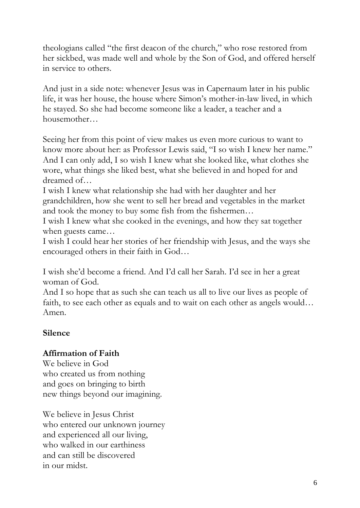theologians called "the first deacon of the church," who rose restored from her sickbed, was made well and whole by the Son of God, and offered herself in service to others.

And just in a side note: whenever Jesus was in Capernaum later in his public life, it was her house, the house where Simon's mother-in-law lived, in which he stayed. So she had become someone like a leader, a teacher and a housemother…

Seeing her from this point of view makes us even more curious to want to know more about her: as Professor Lewis said, "I so wish I knew her name." And I can only add, I so wish I knew what she looked like, what clothes she wore, what things she liked best, what she believed in and hoped for and dreamed of…

I wish I knew what relationship she had with her daughter and her grandchildren, how she went to sell her bread and vegetables in the market and took the money to buy some fish from the fishermen…

I wish I knew what she cooked in the evenings, and how they sat together when guests came…

I wish I could hear her stories of her friendship with Jesus, and the ways she encouraged others in their faith in God…

I wish she'd become a friend. And I'd call her Sarah. I'd see in her a great woman of God.

And I so hope that as such she can teach us all to live our lives as people of faith, to see each other as equals and to wait on each other as angels would… Amen.

## **Silence**

## **Affirmation of Faith**

We believe in God who created us from nothing and goes on bringing to birth new things beyond our imagining.

We believe in Jesus Christ who entered our unknown journey and experienced all our living, who walked in our earthiness and can still be discovered in our midst.